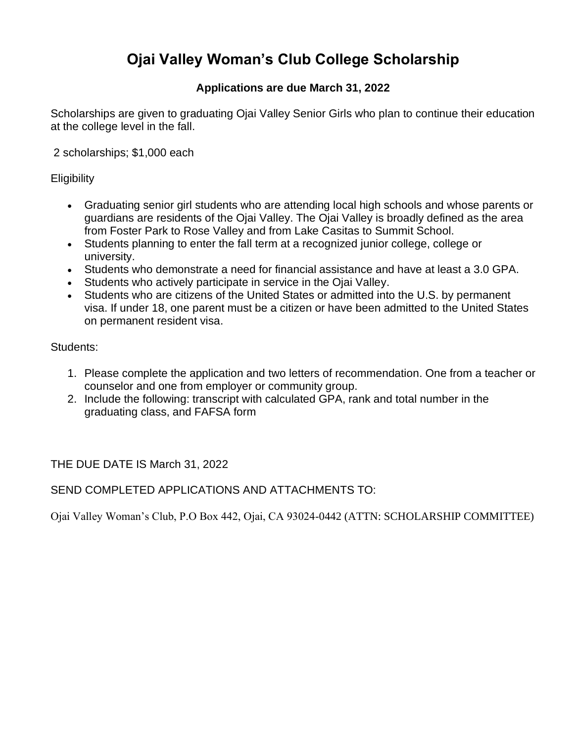## **Ojai Valley Woman's Club College Scholarship**

### **Applications are due March 31, 2022**

Scholarships are given to graduating Ojai Valley Senior Girls who plan to continue their education at the college level in the fall.

2 scholarships; \$1,000 each

**Eligibility** 

- Graduating senior girl students who are attending local high schools and whose parents or guardians are residents of the Ojai Valley. The Ojai Valley is broadly defined as the area from Foster Park to Rose Valley and from Lake Casitas to Summit School.
- Students planning to enter the fall term at a recognized junior college, college or university.
- Students who demonstrate a need for financial assistance and have at least a 3.0 GPA.
- Students who actively participate in service in the Ojai Valley.
- Students who are citizens of the United States or admitted into the U.S. by permanent visa. If under 18, one parent must be a citizen or have been admitted to the United States on permanent resident visa.

Students:

- 1. Please complete the application and two letters of recommendation. One from a teacher or counselor and one from employer or community group.
- 2. Include the following: transcript with calculated GPA, rank and total number in the graduating class, and FAFSA form

THE DUE DATE IS March 31, 2022

SEND COMPLETED APPLICATIONS AND ATTACHMENTS TO:

Ojai Valley Woman's Club, P.O Box 442, Ojai, CA 93024-0442 (ATTN: SCHOLARSHIP COMMITTEE)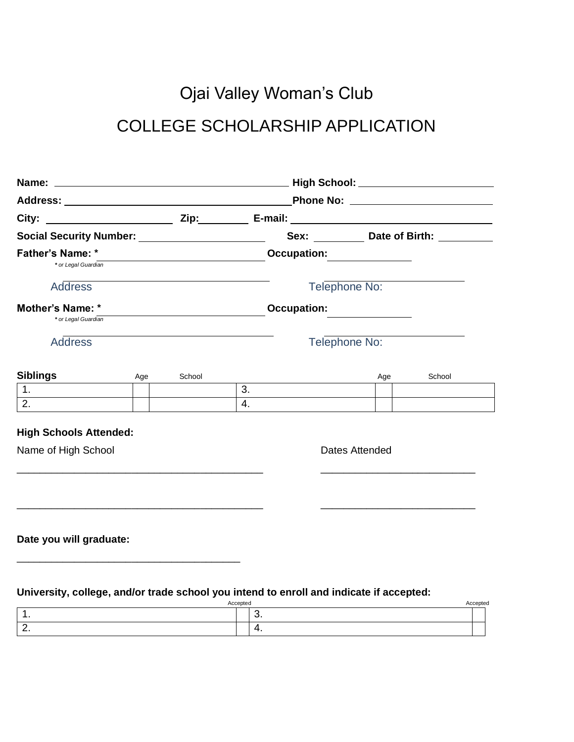# Ojai Valley Woman's Club COLLEGE SCHOLARSHIP APPLICATION

| Social Security Number: _______________________ |     |        |    |                                 | Sex: ____________ Date of Birth: __________ |        |
|-------------------------------------------------|-----|--------|----|---------------------------------|---------------------------------------------|--------|
| <b>Father's Name: *</b><br>* or Legal Guardian  |     |        |    | Occupation: <u>____________</u> |                                             |        |
| <b>Address</b>                                  |     |        |    |                                 | Telephone No:                               |        |
| Mother's Name: *                                |     |        |    | <b>Occupation:</b>              |                                             |        |
| * or Legal Guardian                             |     |        |    |                                 |                                             |        |
| <b>Address</b>                                  |     |        |    |                                 | Telephone No:                               |        |
|                                                 |     |        |    |                                 |                                             |        |
| <b>Siblings</b>                                 | Age | School |    |                                 | Age                                         | School |
| 1.                                              |     |        | 3. |                                 |                                             |        |
| 2.                                              |     |        | 4. |                                 |                                             |        |
| <b>High Schools Attended:</b>                   |     |        |    |                                 |                                             |        |
| Name of High School                             |     |        |    |                                 | Dates Attended                              |        |
|                                                 |     |        |    |                                 |                                             |        |
|                                                 |     |        |    |                                 |                                             |        |
|                                                 |     |        |    |                                 |                                             |        |
|                                                 |     |        |    |                                 |                                             |        |
| Date you will graduate:                         |     |        |    |                                 |                                             |        |
|                                                 |     |        |    |                                 |                                             |        |

**University, college, and/or trade school you intend to enroll and indicate if accepted:**

\_\_\_\_\_\_\_\_\_\_\_\_\_\_\_\_\_\_\_\_\_\_\_\_\_\_\_\_\_\_\_\_\_\_\_\_\_\_\_

| . .<br>$\ddot{\phantom{1}}$ |          |          |
|-----------------------------|----------|----------|
|                             | Accepted | Accepted |
|                             | J.       |          |
| <u>.</u>                    | . .      |          |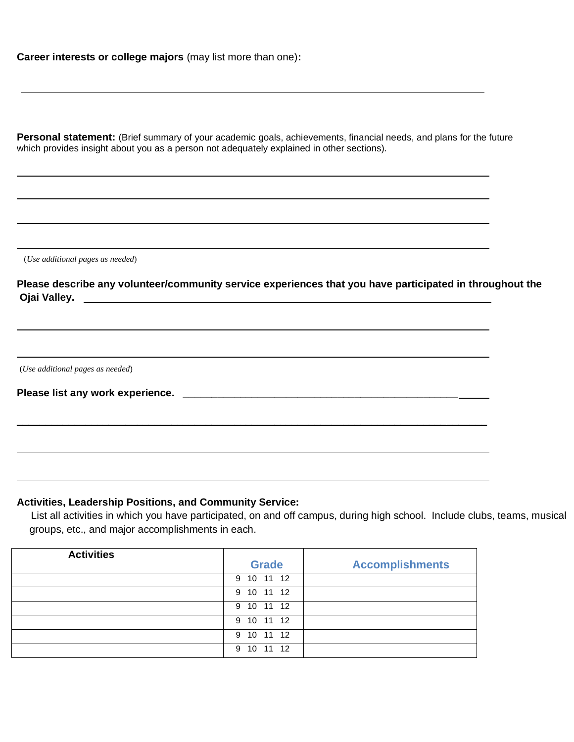Personal statement: (Brief summary of your academic goals, achievements, financial needs, and plans for the future which provides insight about you as a person not adequately explained in other sections).

(*Use additional pages as needed*)

**Please describe any volunteer/community service experiences that you have participated in throughout the Ojai Valley.** \_\_\_\_\_\_\_\_\_\_\_\_\_\_\_\_\_\_\_\_\_\_\_\_\_\_\_\_\_\_\_\_\_\_\_\_\_\_\_\_\_\_\_\_\_\_\_\_\_\_\_\_\_\_\_\_\_\_\_\_\_\_\_\_\_\_\_\_\_\_\_

(*Use additional pages as needed*)

**Please list any work experience. \_\_\_\_\_\_\_\_\_\_\_\_\_\_\_\_\_\_\_\_\_\_\_\_\_\_\_\_\_\_\_\_\_\_\_\_\_\_\_\_\_\_\_\_\_\_\_\_**

#### **Activities, Leadership Positions, and Community Service:**

 List all activities in which you have participated, on and off campus, during high school. Include clubs, teams, musical groups, etc., and major accomplishments in each.

| <b>Activities</b> | <b>Grade</b>         | <b>Accomplishments</b> |
|-------------------|----------------------|------------------------|
|                   | 9 10 11 12           |                        |
|                   | 9 10 11 12           |                        |
|                   | 9 10 11 12           |                        |
|                   | 9 10 11 12           |                        |
|                   | 9 10 11 12           |                        |
|                   | 12<br>10<br>-11<br>9 |                        |

\_\_\_\_\_\_\_\_\_\_\_\_\_\_\_\_\_\_\_\_\_\_\_\_\_\_\_\_\_\_\_\_\_\_\_\_\_\_\_\_\_\_\_\_\_\_\_\_\_\_\_\_\_\_\_\_\_\_\_\_\_\_\_\_\_\_\_\_\_\_\_\_\_\_\_\_\_\_\_\_\_\_